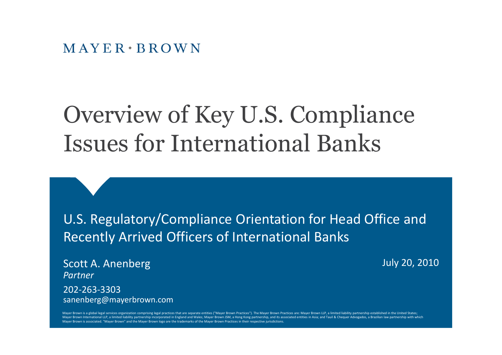#### $M$  AYER  $\cdot$  BROWN

### Overview of Key U.S. Compliance Issues for International Banks

U.S. Regulatory/Compliance Orientation for Head Office and Recently Arrived Officers of International Banks

Scott A. Anenberg *Partner* 202-263-3303 sanenberg@mayerbrown.com July 20, 2010

Mayer Brown is a global legal services organization comprising legal practices that are separate entities ("Mayer Brown Practices"). The Mayer Brown Practices are: Mayer Brown LLP, a limited liability partnership establish Mayer Brown International LLP, a limited liability partnership incorporated in England and Wales; Mayer Brown JSM, a Hong Kong partnership, and its associated entities in Asia; and Tauil & Chequer Advogados, a Brazilian la Mayer Brown is associated. "Mayer Brown" and the Mayer Brown logo are the trademarks of the Mayer Brown Practices in their respective jurisdictions.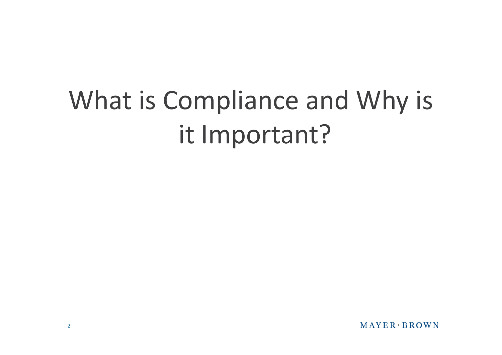# What is Compliance and Why is it Important?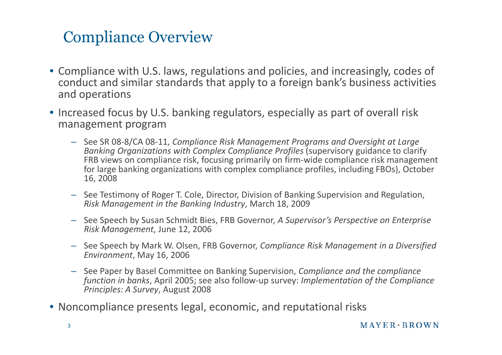#### Compliance Overview

- Compliance with U.S. laws, regulations and policies, and increasingly, codes of conduct and similar standards that apply to a foreign bank's business activities and operations
- Increased focus by U.S. banking regulators, especially as part of overall risk management program
	- See SR 08-8/CA 08-11, *Compliance Risk Management Programs and Oversight at Large Banking Organizations with Complex Compliance Profiles* (supervisory guidance to clarify FRB views on compliance risk, focusing primarily on firm-wide compliance risk management for large banking organizations with complex compliance profiles, including FBOs), October 16, 2008
	- See Testimony of Roger T. Cole, Director, Division of Banking Supervision and Regulation, *Risk Management in the Banking Industry*, March 18, 2009
	- See Speech by Susan Schmidt Bies, FRB Governor, *A Supervisor's Perspective on Enterprise Risk Management*, June 12, 2006
	- See Speech by Mark W. Olsen, FRB Governor, *Compliance Risk Management in a Diversified Environment*, May 16, 2006
	- See Paper by Basel Committee on Banking Supervision, *Compliance and the compliance function in banks*, April 2005; see also follow-up survey: *Implementation of the Compliance Principles: A Survey*, August 2008
- Noncompliance presents legal, economic, and reputational risks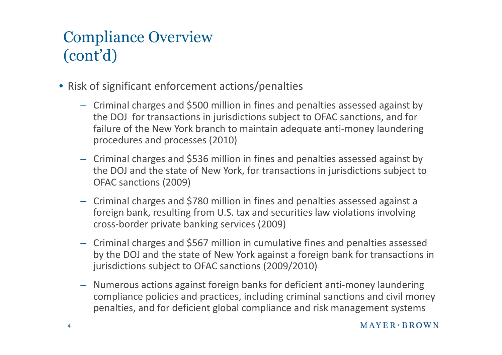### Compliance Overview (cont'd)

- Risk of significant enforcement actions/penalties
	- Criminal charges and \$500 million in fines and penalties assessed against by the DOJ for transactions in jurisdictions subject to OFAC sanctions, and for failure of the New York branch to maintain adequate anti-money laundering procedures and processes (2010)
	- Criminal charges and \$536 million in fines and penalties assessed against by the DOJ and the state of New York, for transactions in jurisdictions subject to OFAC sanctions (2009)
	- Criminal charges and \$780 million in fines and penalties assessed against a foreign bank, resulting from U.S. tax and securities law violations involving cross-border private banking services (2009)
	- Criminal charges and \$567 million in cumulative fines and penalties assessed by the DOJ and the state of New York against a foreign bank for transactions in jurisdictions subject to OFAC sanctions (2009/2010)
	- Numerous actions against foreign banks for deficient anti-money laundering compliance policies and practices, including criminal sanctions and civil money penalties, and for deficient global compliance and risk management systems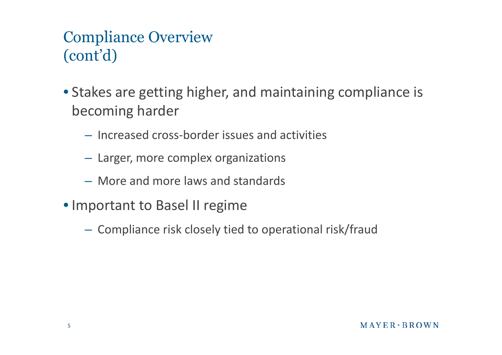#### Compliance Overview (cont'd)

- Stakes are getting higher, and maintaining compliance is becoming harder
	- Increased cross-border issues and activities
	- Larger, more complex organizations
	- More and more laws and standards
- Important to Basel II regime
	- Compliance risk closely tied to operational risk/fraud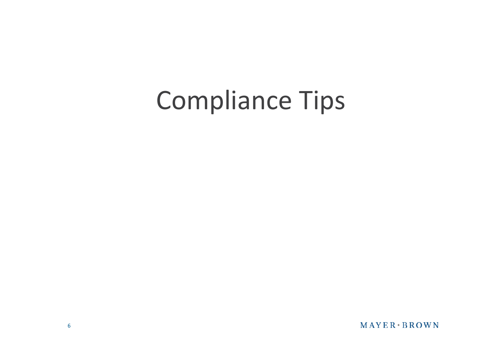## Compliance Tips

MAYER BROWN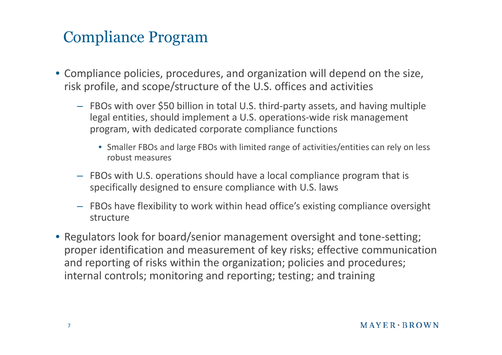#### Compliance Program

- Compliance policies, procedures, and organization will depend on the size, risk profile, and scope/structure of the U.S. offices and activities
	- FBOs with over \$50 billion in total U.S. third-party assets, and having multiple legal entities, should implement a U.S. operations-wide risk management program, with dedicated corporate compliance functions
		- Smaller FBOs and large FBOs with limited range of activities/entities can rely on less robust measures
	- FBOs with U.S. operations should have a local compliance program that is specifically designed to ensure compliance with U.S. laws
	- FBOs have flexibility to work within head office's existing compliance oversight structure
- Regulators look for board/senior management oversight and tone-setting; proper identification and measurement of key risks; effective communication and reporting of risks within the organization; policies and procedures; internal controls; monitoring and reporting; testing; and training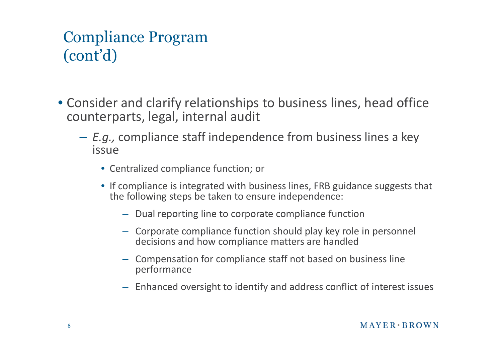#### Compliance Program (cont'd)

- Consider and clarify relationships to business lines, head office counterparts, legal, internal audit
	- *E.g.,* compliance staff independence from business lines a key issue
		- Centralized compliance function; or
		- If compliance is integrated with business lines, FRB guidance suggests that the following steps be taken to ensure independence:
			- Dual reporting line to corporate compliance function
			- Corporate compliance function should play key role in personnel decisions and how compliance matters are handled
			- Compensation for compliance staff not based on business line performance
			- Enhanced oversight to identify and address conflict of interest issues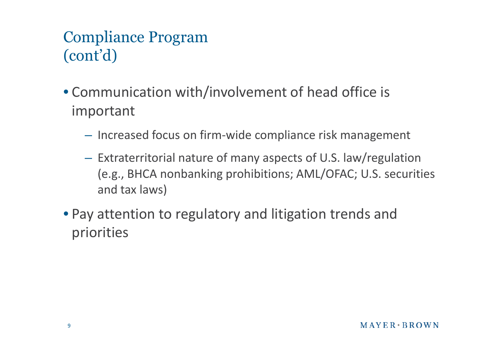#### Compliance Program (cont'd)

- Communication with/involvement of head office is important
	- Increased focus on firm-wide compliance risk management
	- Extraterritorial nature of many aspects of U.S. law/regulation (e.g., BHCA nonbanking prohibitions; AML/OFAC; U.S. securities and tax laws)
- Pay attention to regulatory and litigation trends and priorities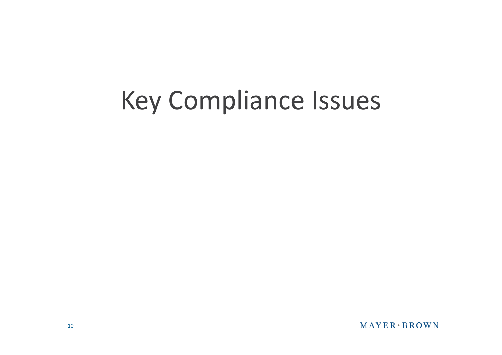## Key Compliance Issues

MAYER BROWN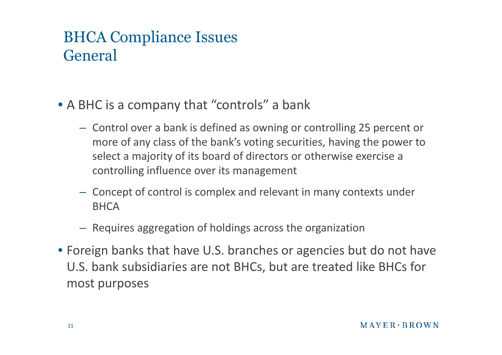#### BHCA Compliance Issues General

- A BHC is a company that "controls" a bank
	- Control over a bank is defined as owning or controlling 25 percent or more of any class of the bank's voting securities, having the power to select a majority of its board of directors or otherwise exercise a controlling influence over its management
	- Concept of control is complex and relevant in many contexts under **BHCA**
	- Requires aggregation of holdings across the organization
- Foreign banks that have U.S. branches or agencies but do not have U.S. bank subsidiaries are not BHCs, but are treated like BHCs for most purposes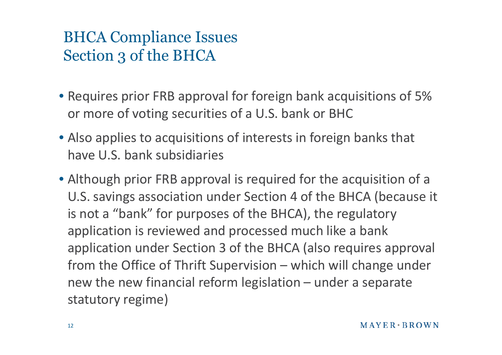#### BHCA Compliance Issues Section 3 of the BHCA

- Requires prior FRB approval for foreign bank acquisitions of 5% or more of voting securities of a U.S. bank or BHC
- Also applies to acquisitions of interests in foreign banks that have U.S. bank subsidiaries
- Although prior FRB approval is required for the acquisition of a U.S. savings association under Section 4 of the BHCA (because it is not a "bank" for purposes of the BHCA), the regulatory application is reviewed and processed much like a bank application under Section 3 of the BHCA (also requires approval from the Office of Thrift Supervision – which will change under new the new financial reform legislation – under a separate statutory regime)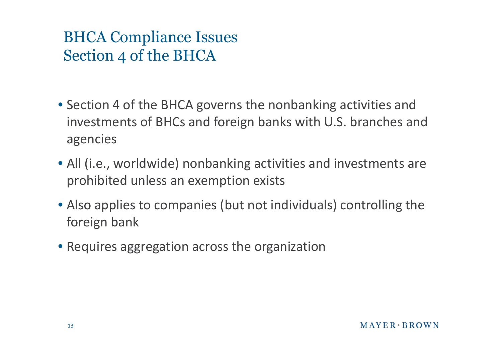#### BHCA Compliance Issues Section 4 of the BHCA

- Section 4 of the BHCA governs the nonbanking activities and investments of BHCs and foreign banks with U.S. branches and agencies
- All (i.e., worldwide) nonbanking activities and investments are prohibited unless an exemption exists
- Also applies to companies (but not individuals) controlling the foreign bank
- Requires aggregation across the organization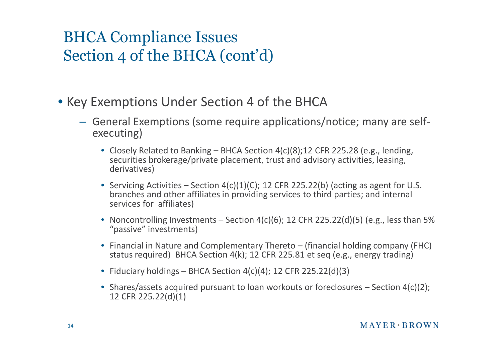#### BHCA Compliance Issues Section 4 of the BHCA (cont'd)

- Key Exemptions Under Section 4 of the BHCA
	- General Exemptions (some require applications/notice; many are selfexecuting)
		- Closely Related to Banking BHCA Section 4(c)(8);12 CFR 225.28 (e.g., lending, securities brokerage/private placement, trust and advisory activities, leasing, derivatives)
		- Servicing Activities Section  $4(c)(1)(C)$ ; 12 CFR 225.22(b) (acting as agent for U.S. branches and other affiliates in providing services to third parties; and internal services for affiliates)
		- Noncontrolling Investments Section  $4(c)(6)$ ; 12 CFR 225.22(d)(5) (e.g., less than 5% "passive" investments)
		- Financial in Nature and Complementary Thereto (financial holding company (FHC) status required) BHCA Section 4(k); 12 CFR 225.81 et seq (e.g., energy trading)
		- Fiduciary holdings BHCA Section  $4(c)(4)$ ; 12 CFR 225.22(d)(3)
		- Shares/assets acquired pursuant to loan workouts or foreclosures Section 4(c)(2); 12 CFR 225.22(d)(1)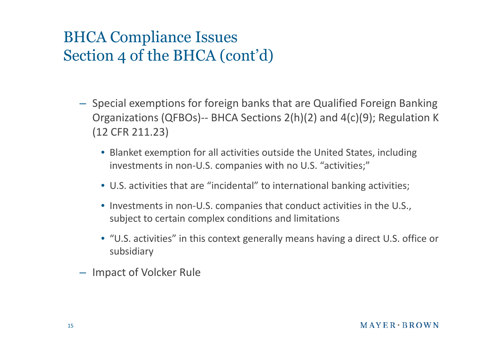#### BHCA Compliance Issues Section 4 of the BHCA (cont'd)

- Special exemptions for foreign banks that are Qualified Foreign Banking Organizations (QFBOs)-- BHCA Sections 2(h)(2) and 4(c)(9); Regulation K (12 CFR 211.23)
	- Blanket exemption for all activities outside the United States, including investments in non-U.S. companies with no U.S. "activities;"
	- U.S. activities that are "incidental" to international banking activities;
	- Investments in non-U.S. companies that conduct activities in the U.S., subject to certain complex conditions and limitations
	- "U.S. activities" in this context generally means having a direct U.S. office or subsidiary
- Impact of Volcker Rule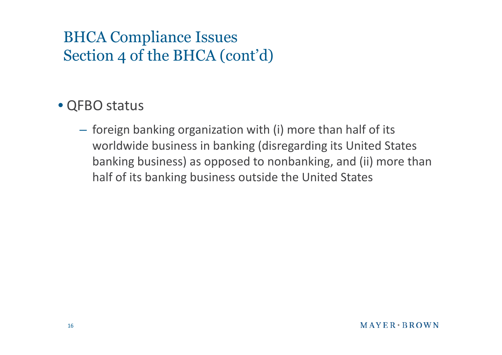#### BHCA Compliance Issues Section 4 of the BHCA (cont'd)

#### • QFBO status

– foreign banking organization with (i) more than half of its worldwide business in banking (disregarding its United States banking business) as opposed to nonbanking, and (ii) more than half of its banking business outside the United States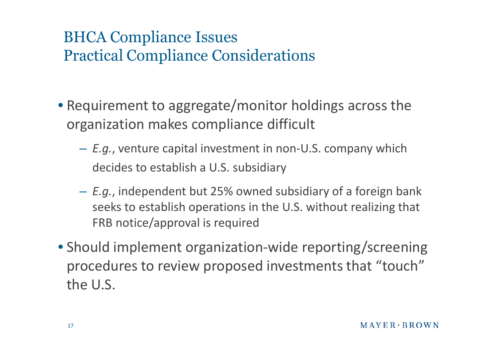#### BHCA Compliance Issues Practical Compliance Considerations

- Requirement to aggregate/monitor holdings across the organization makes compliance difficult
	- *E.g.*, venture capital investment in non-U.S. company which decides to establish a U.S. subsidiary
	- *E.g.*, independent but 25% owned subsidiary of a foreign bank seeks to establish operations in the U.S. without realizing that FRB notice/approval is required
- Should implement organization-wide reporting/screening procedures to review proposed investments that "touch" the U.S.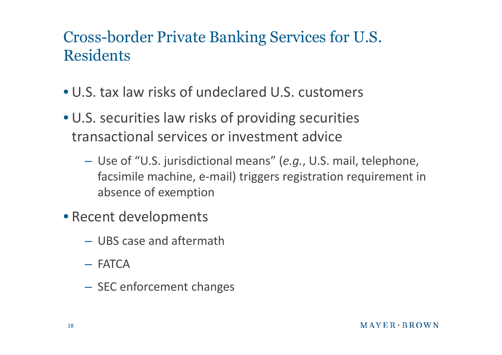#### Cross-border Private Banking Services for U.S. **Residents**

- U.S. tax law risks of undeclared U.S. customers
- U.S. securities law risks of providing securities transactional services or investment advice
	- Use of "U.S. jurisdictional means" (*e.g.*, U.S. mail, telephone, facsimile machine, e-mail) triggers registration requirement in absence of exemption
- Recent developments
	- UBS case and aftermath
	- FATCA
	- SEC enforcement changes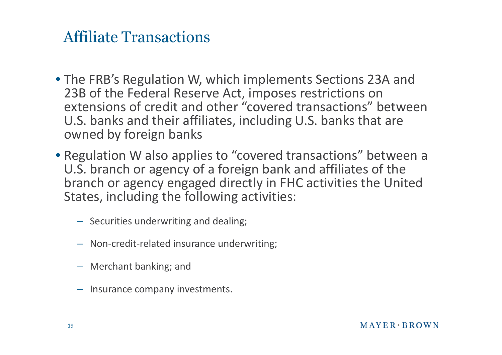#### Affiliate Transactions

- The FRB's Regulation W, which implements Sections 23A and 23B of the Federal Reserve Act, imposes restrictions on extensions of credit and other "covered transactions" between U.S. banks and their affiliates, including U.S. banks that are owned by foreign banks
- Regulation W also applies to "covered transactions" between a U.S. branch or agency of a foreign bank and affiliates of the branch or agency engaged directly in FHC activities the United States, including the following activities:
	- Securities underwriting and dealing;
	- Non-credit-related insurance underwriting;
	- Merchant banking; and
	- Insurance company investments.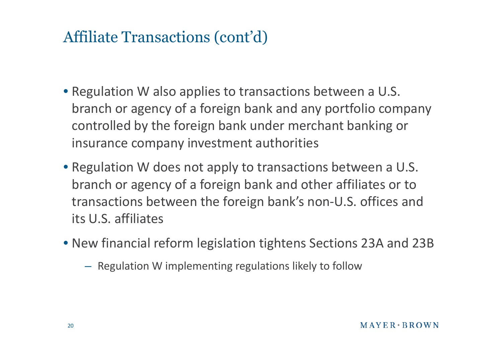#### Affiliate Transactions (cont'd)

- Regulation W also applies to transactions between a U.S. branch or agency of a foreign bank and any portfolio company controlled by the foreign bank under merchant banking or insurance company investment authorities
- Regulation W does not apply to transactions between a U.S. branch or agency of a foreign bank and other affiliates or to transactions between the foreign bank's non-U.S. offices and its U.S. affiliates
- New financial reform legislation tightens Sections 23A and 23B
	- Regulation W implementing regulations likely to follow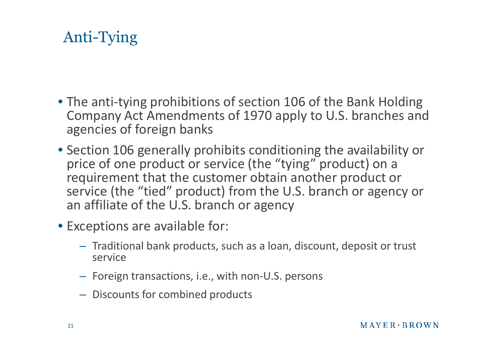### Anti-Tying

- The anti-tying prohibitions of section 106 of the Bank Holding Company Act Amendments of 1970 apply to U.S. branches and agencies of foreign banks
- Section 106 generally prohibits conditioning the availability or price of one product or service (the "tying" product) on a requirement that the customer obtain another product or service (the "tied" product) from the U.S. branch or agency or an affiliate of the U.S. branch or agency
- Exceptions are available for:
	- Traditional bank products, such as a loan, discount, deposit or trust service
	- Foreign transactions, i.e., with non-U.S. persons
	- Discounts for combined products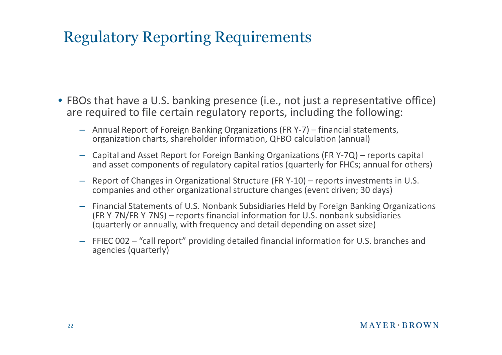#### Regulatory Reporting Requirements

- FBOs that have a U.S. banking presence (i.e., not just a representative office) are required to file certain regulatory reports, including the following:
	- Annual Report of Foreign Banking Organizations (FR Y-7) financial statements, organization charts, shareholder information, QFBO calculation (annual)
	- Capital and Asset Report for Foreign Banking Organizations (FR Y-7Q) reports capital and asset components of regulatory capital ratios (quarterly for FHCs; annual for others)
	- Report of Changes in Organizational Structure (FR Y-10) reports investments in U.S. companies and other organizational structure changes (event driven; 30 days)
	- Financial Statements of U.S. Nonbank Subsidiaries Held by Foreign Banking Organizations (FR Y-7N/FR Y-7NS) – reports financial information for U.S. nonbank subsidiaries (quarterly or annually, with frequency and detail depending on asset size)
	- FFIEC 002 "call report" providing detailed financial information for U.S. branches and agencies (quarterly)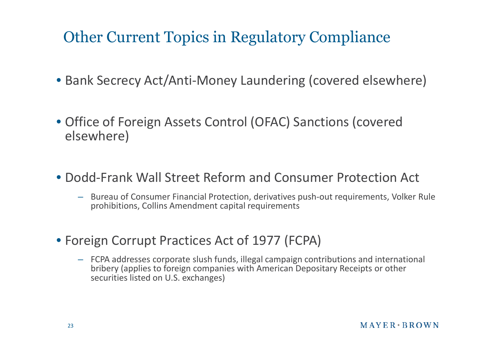#### Other Current Topics in Regulatory Compliance

- Bank Secrecy Act/Anti-Money Laundering (covered elsewhere)
- Office of Foreign Assets Control (OFAC) Sanctions (covered elsewhere)
- Dodd-Frank Wall Street Reform and Consumer Protection Act
	- Bureau of Consumer Financial Protection, derivatives push-out requirements, Volker Rule prohibitions, Collins Amendment capital requirements
- Foreign Corrupt Practices Act of 1977 (FCPA)
	- FCPA addresses corporate slush funds, illegal campaign contributions and international bribery (applies to foreign companies with American Depositary Receipts or other securities listed on U.S. exchanges)